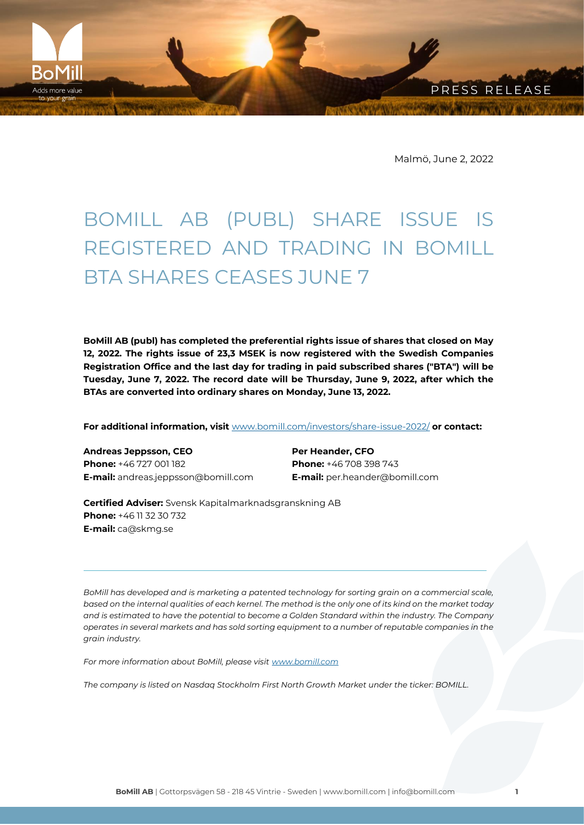PRESS RELEASE

Malmö, June 2, 2022

## BOMILL AB (PUBL) SHARE ISSUE IS REGISTERED AND TRADING IN BOMILL BTA SHARES CEASES JUNE 7

**BoMill AB (publ) has completed the preferential rights issue of shares that closed on May 12, 2022. The rights issue of 23,3 MSEK is now registered with the Swedish Companies Registration Office and the last day for trading in paid subscribed shares ("BTA") will be Tuesday, June 7, 2022. The record date will be Thursday, June 9, 2022, after which the BTAs are converted into ordinary shares on Monday, June 13, 2022.**

**For additional information, visit** [www.bomill.com/investors/share-issue-2022/](http://www.bomill.com/investors/share-issue-2022/) **or contact:**

**Andreas Jeppsson, CEO Phone:** +46 727 001 182 **E-mail:** andreas.jeppsson@bomill.com

**BoMil** dds more value

> **Per Heander, CFO Phone:** +46 708 398 743 **E-mail:** per.heander@bomill.com

**Certified Adviser:** Svensk Kapitalmarknadsgranskning AB **Phone:** +46 11 32 30 732 **E-mail:** ca@skmg.se

*BoMill has developed and is marketing a patented technology for sorting grain on a commercial scale, based on the internal qualities of each kernel. The method is the only one of its kind on the market today and is estimated to have the potential to become a Golden Standard within the industry. The Company operates in several markets and has sold sorting equipment to a number of reputable companies in the grain industry.*

*For more information about BoMill, please visit [www.bomill.com](http://www.bomill.com/)*

*The company is listed on Nasdaq Stockholm First North Growth Market under the ticker: BOMILL.*